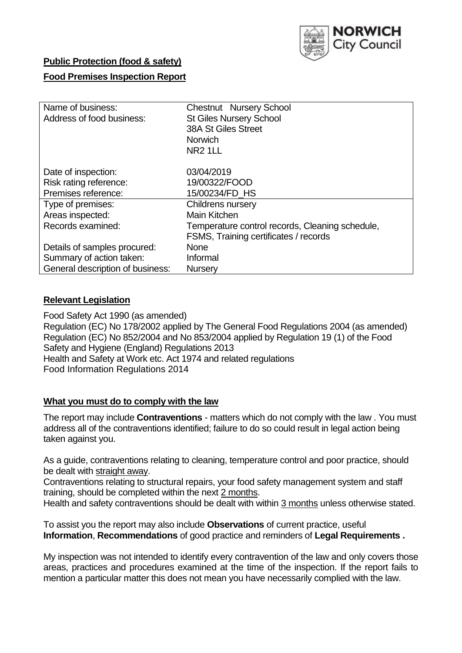

## **Public Protection (food & safety)**

### **Food Premises Inspection Report**

| Name of business:<br>Address of food business: | Chestnut Nursery School<br><b>St Giles Nursery School</b><br><b>38A St Giles Street</b><br><b>Norwich</b><br>NR <sub>2</sub> 1LL |  |  |  |
|------------------------------------------------|----------------------------------------------------------------------------------------------------------------------------------|--|--|--|
| Date of inspection:                            | 03/04/2019                                                                                                                       |  |  |  |
| Risk rating reference:                         | 19/00322/FOOD                                                                                                                    |  |  |  |
| Premises reference:                            | 15/00234/FD HS                                                                                                                   |  |  |  |
| Type of premises:                              | Childrens nursery                                                                                                                |  |  |  |
| Areas inspected:                               | Main Kitchen                                                                                                                     |  |  |  |
| Records examined:                              | Temperature control records, Cleaning schedule,                                                                                  |  |  |  |
|                                                | FSMS, Training certificates / records                                                                                            |  |  |  |
| Details of samples procured:                   | <b>None</b>                                                                                                                      |  |  |  |
| Summary of action taken:                       | Informal                                                                                                                         |  |  |  |
| General description of business:               | <b>Nursery</b>                                                                                                                   |  |  |  |

#### **Relevant Legislation**

Food Safety Act 1990 (as amended) Regulation (EC) No 178/2002 applied by The General Food Regulations 2004 (as amended) Regulation (EC) No 852/2004 and No 853/2004 applied by Regulation 19 (1) of the Food Safety and Hygiene (England) Regulations 2013 Health and Safety at Work etc. Act 1974 and related regulations Food Information Regulations 2014

#### **What you must do to comply with the law**

The report may include **Contraventions** - matters which do not comply with the law . You must address all of the contraventions identified; failure to do so could result in legal action being taken against you.

As a guide, contraventions relating to cleaning, temperature control and poor practice, should be dealt with straight away.

Contraventions relating to structural repairs, your food safety management system and staff training, should be completed within the next 2 months.

Health and safety contraventions should be dealt with within 3 months unless otherwise stated.

To assist you the report may also include **Observations** of current practice, useful **Information**, **Recommendations** of good practice and reminders of **Legal Requirements .**

My inspection was not intended to identify every contravention of the law and only covers those areas, practices and procedures examined at the time of the inspection. If the report fails to mention a particular matter this does not mean you have necessarily complied with the law.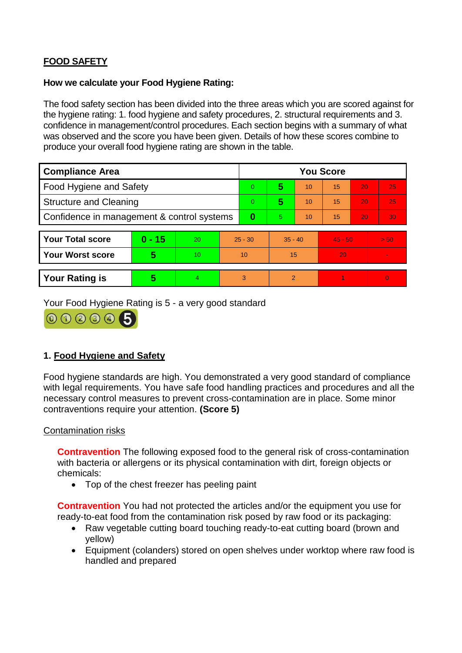# **FOOD SAFETY**

#### **How we calculate your Food Hygiene Rating:**

The food safety section has been divided into the three areas which you are scored against for the hygiene rating: 1. food hygiene and safety procedures, 2. structural requirements and 3. confidence in management/control procedures. Each section begins with a summary of what was observed and the score you have been given. Details of how these scores combine to produce your overall food hygiene rating are shown in the table.

| <b>Compliance Area</b>                     |                         |                  |           | <b>You Score</b> |                |    |           |    |                |  |  |
|--------------------------------------------|-------------------------|------------------|-----------|------------------|----------------|----|-----------|----|----------------|--|--|
| Food Hygiene and Safety                    |                         |                  | 0         | 5                | 10             | 15 | 20        | 25 |                |  |  |
| <b>Structure and Cleaning</b>              |                         |                  | 0         | 5                | 10             | 15 | 20        | 25 |                |  |  |
| Confidence in management & control systems |                         |                  | 0         | 5                | 10             | 15 | 20        | 30 |                |  |  |
|                                            |                         |                  |           |                  |                |    |           |    |                |  |  |
| <b>Your Total score</b>                    | $0 - 15$                | 20               | $25 - 30$ |                  | $35 - 40$      |    | $45 - 50$ |    | > 50           |  |  |
| <b>Your Worst score</b>                    | $\overline{\mathbf{5}}$ | 10 <sup>10</sup> | 10        |                  | 15             |    | 20        |    | $\blacksquare$ |  |  |
|                                            |                         |                  |           |                  |                |    |           |    |                |  |  |
| <b>Your Rating is</b>                      | 5                       | $\overline{4}$   | 3         |                  | $\overline{2}$ |    |           |    | $\overline{0}$ |  |  |

Your Food Hygiene Rating is 5 - a very good standard



## **1. Food Hygiene and Safety**

Food hygiene standards are high. You demonstrated a very good standard of compliance with legal requirements. You have safe food handling practices and procedures and all the necessary control measures to prevent cross-contamination are in place. Some minor contraventions require your attention. **(Score 5)**

#### Contamination risks

**Contravention** The following exposed food to the general risk of cross-contamination with bacteria or allergens or its physical contamination with dirt, foreign objects or chemicals:

• Top of the chest freezer has peeling paint

**Contravention** You had not protected the articles and/or the equipment you use for ready-to-eat food from the contamination risk posed by raw food or its packaging:

- Raw vegetable cutting board touching ready-to-eat cutting board (brown and yellow)
- Equipment (colanders) stored on open shelves under worktop where raw food is handled and prepared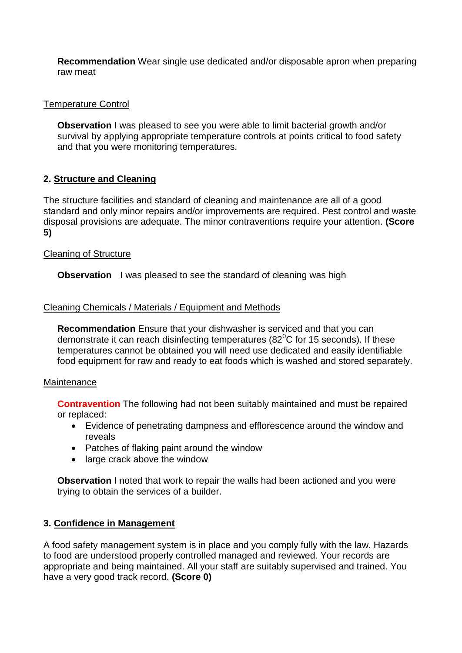**Recommendation** Wear single use dedicated and/or disposable apron when preparing raw meat

### Temperature Control

**Observation I** was pleased to see you were able to limit bacterial growth and/or survival by applying appropriate temperature controls at points critical to food safety and that you were monitoring temperatures.

## **2. Structure and Cleaning**

The structure facilities and standard of cleaning and maintenance are all of a good standard and only minor repairs and/or improvements are required. Pest control and waste disposal provisions are adequate. The minor contraventions require your attention. **(Score 5)**

#### Cleaning of Structure

**Observation** I was pleased to see the standard of cleaning was high

#### Cleaning Chemicals / Materials / Equipment and Methods

**Recommendation** Ensure that your dishwasher is serviced and that you can demonstrate it can reach disinfecting temperatures ( $82^{\circ}$ C for 15 seconds). If these temperatures cannot be obtained you will need use dedicated and easily identifiable food equipment for raw and ready to eat foods which is washed and stored separately.

#### **Maintenance**

**Contravention** The following had not been suitably maintained and must be repaired or replaced:

- Evidence of penetrating dampness and efflorescence around the window and reveals
- Patches of flaking paint around the window
- large crack above the window

**Observation** I noted that work to repair the walls had been actioned and you were trying to obtain the services of a builder.

## **3. Confidence in Management**

A food safety management system is in place and you comply fully with the law. Hazards to food are understood properly controlled managed and reviewed. Your records are appropriate and being maintained. All your staff are suitably supervised and trained. You have a very good track record. **(Score 0)**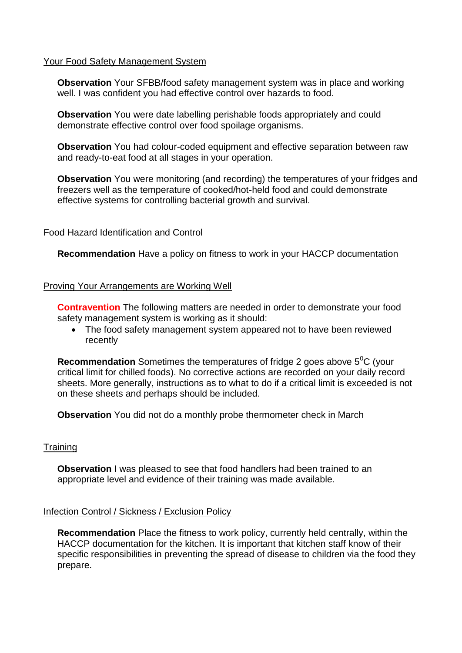#### Your Food Safety Management System

**Observation** Your SFBB/food safety management system was in place and working well. I was confident you had effective control over hazards to food.

**Observation** You were date labelling perishable foods appropriately and could demonstrate effective control over food spoilage organisms.

**Observation** You had colour-coded equipment and effective separation between raw and ready-to-eat food at all stages in your operation.

**Observation** You were monitoring (and recording) the temperatures of your fridges and freezers well as the temperature of cooked/hot-held food and could demonstrate effective systems for controlling bacterial growth and survival.

#### Food Hazard Identification and Control

**Recommendation** Have a policy on fitness to work in your HACCP documentation

#### Proving Your Arrangements are Working Well

**Contravention** The following matters are needed in order to demonstrate your food safety management system is working as it should:

• The food safety management system appeared not to have been reviewed recently

**Recommendation** Sometimes the temperatures of fridge 2 goes above 5<sup>0</sup>C (your critical limit for chilled foods). No corrective actions are recorded on your daily record sheets. More generally, instructions as to what to do if a critical limit is exceeded is not on these sheets and perhaps should be included.

**Observation** You did not do a monthly probe thermometer check in March

#### **Training**

**Observation** I was pleased to see that food handlers had been trained to an appropriate level and evidence of their training was made available.

#### Infection Control / Sickness / Exclusion Policy

**Recommendation** Place the fitness to work policy, currently held centrally, within the HACCP documentation for the kitchen. It is important that kitchen staff know of their specific responsibilities in preventing the spread of disease to children via the food they prepare.